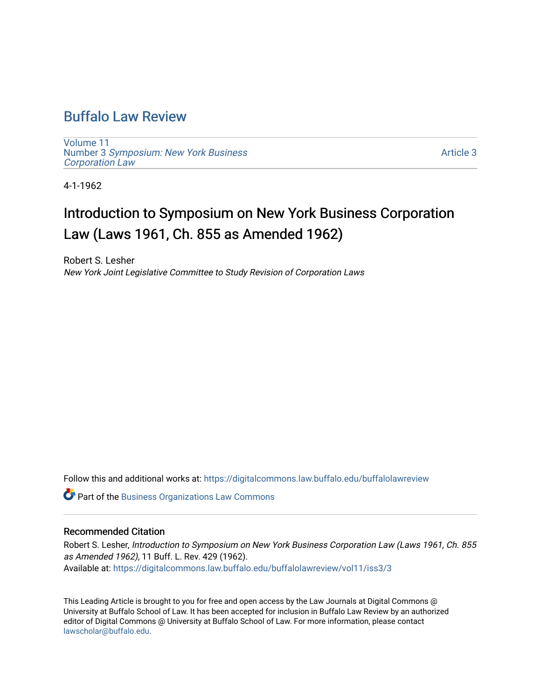## [Buffalo Law Review](https://digitalcommons.law.buffalo.edu/buffalolawreview)

[Volume 11](https://digitalcommons.law.buffalo.edu/buffalolawreview/vol11) Number 3 [Symposium: New York Business](https://digitalcommons.law.buffalo.edu/buffalolawreview/vol11/iss3)  [Corporation Law](https://digitalcommons.law.buffalo.edu/buffalolawreview/vol11/iss3) 

[Article 3](https://digitalcommons.law.buffalo.edu/buffalolawreview/vol11/iss3/3) 

4-1-1962

# Introduction to Symposium on New York Business Corporation Law (Laws 1961, Ch. 855 as Amended 1962)

Robert S. Lesher New York Joint Legislative Committee to Study Revision of Corporation Laws

Follow this and additional works at: [https://digitalcommons.law.buffalo.edu/buffalolawreview](https://digitalcommons.law.buffalo.edu/buffalolawreview?utm_source=digitalcommons.law.buffalo.edu%2Fbuffalolawreview%2Fvol11%2Fiss3%2F3&utm_medium=PDF&utm_campaign=PDFCoverPages) 

Part of the [Business Organizations Law Commons](http://network.bepress.com/hgg/discipline/900?utm_source=digitalcommons.law.buffalo.edu%2Fbuffalolawreview%2Fvol11%2Fiss3%2F3&utm_medium=PDF&utm_campaign=PDFCoverPages)

### Recommended Citation

Robert S. Lesher, Introduction to Symposium on New York Business Corporation Law (Laws 1961, Ch. 855 as Amended 1962), 11 Buff. L. Rev. 429 (1962). Available at: [https://digitalcommons.law.buffalo.edu/buffalolawreview/vol11/iss3/3](https://digitalcommons.law.buffalo.edu/buffalolawreview/vol11/iss3/3?utm_source=digitalcommons.law.buffalo.edu%2Fbuffalolawreview%2Fvol11%2Fiss3%2F3&utm_medium=PDF&utm_campaign=PDFCoverPages) 

This Leading Article is brought to you for free and open access by the Law Journals at Digital Commons @ University at Buffalo School of Law. It has been accepted for inclusion in Buffalo Law Review by an authorized editor of Digital Commons @ University at Buffalo School of Law. For more information, please contact [lawscholar@buffalo.edu](mailto:lawscholar@buffalo.edu).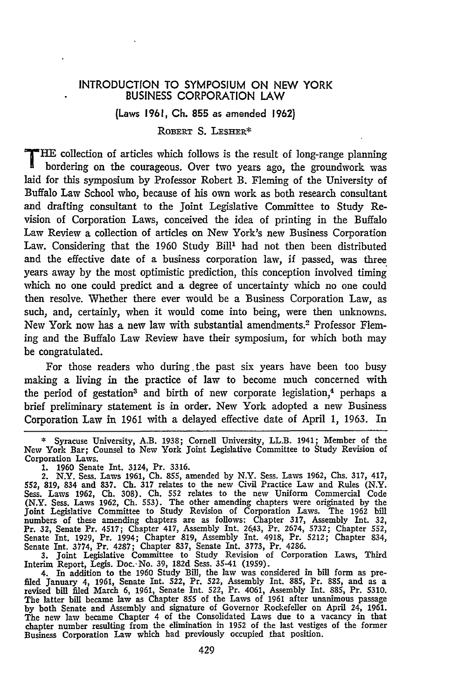#### INTRODUCTION TO SYMPOSIUM ON **NEW** YORK BUSINESS CORPORATION LAW

#### (Laws **1961, Ch. 855** as amended **1962)**

#### ROBERT **S.** LESHER\*

**T HE** collection of articles which follows is the result of long-range planning hardwing an the sum of  $\theta$ bordering on the courageous. Over two years ago, the groundwork was laid for this symposium by Professor Robert B. Fleming of the University of Buffalo Law School who, because of his own work as both research consultant and drafting consultant to the Joint Legislative Committee to Study Revision of Corporation Laws, conceived the idea of printing in the Buffalo Law Review a collection of articles on New York's new Business Corporation Law. Considering that the 1960 Study Bill' had not then been distributed and the effective date of a business corporation law, if passed, was three years away by the most optimistic prediction, this conception involved timing which no one could predict and a degree of uncertainty which no one could then resolve. Whether there ever would be a Business Corporation Law, as such, and, certainly, when it would come into being, were then unknowns. New York now has a new law with substantial amendments. 2 Professor Fleming and the Buffalo Law Review have their symposium, for which both may be congratulated.

For those readers who during .the past six years have been too busy making a living in the practice of law to become much concerned with the period of gestation<sup>3</sup> and birth of new corporate legislation,<sup>4</sup> perhaps a brief preliminary statement is in order. New York adopted a new Business Corporation Law in 1961 with a delayed effective date of April 1, 1963. In

3. Joint Legislative Committee to Study Revision of Corporation Laws, Third

Interim Report, Legis. Doc. No. 39, 182d Sess. 35-41 (1959).<br>4. In addition to the 1960 Study Bill, the law was considered in bill form as pre-<br>filed January 4, 1961, Senate Int. 522, Pr. 522, Assembly Int. 885, Pr. 885, a **by** both Senate and Assembly and signature of Governor Rockefeller on April 24, 1961. The new law became Chapter 4 of the Consolidated Laws due to a vacancy in that chapter number resulting from the elimination in **1952** of the last vestiges of the former Business Corporation Law which had previously occupied that position.

**<sup>\*</sup>** Syracuse University, A.B. 1938; Cornell University, LL.B. 1941; Member of the New York Bar; Counsel to New York Joint Legislative Committee to Study Revision of

Corporation Laws. 1. 1960 Senate Int. 3124, Pr. 3316. 2. N.Y. Sess. Laws 1961, Ch. 855, amended by N.Y. Sess. Laws 1962, Chs. 317, 417, 552, 819, 834 and 837. Ch. 317 relates to the new Civil Practice Law and Rules (N.Y. Sess. Laws 1962, Ch. 308). Ch. 552 relates to the new Uniform Commercial Code (N.Y. Sess. Laws 1962, Ch. 553). The other amending chapters were originated by the Joint Legislative Committee to Study Revision of Corporation Laws. The 1962 bil<br>numbers of these amending chapters are as follows: Chapter 317, Assembly Int. 32<br>Pr. 32, Senate Pr. 4517; Chapter 417, Assembly Int. 2643, Pr. Senate Int. 1929, Pr. 1994; Chapter 819, Assembly Int. 4918, Pr. 5212; Chapter 834, Senate Int. **3774,** Pr. 4287; Chapter **837,** Senate Int. **3773,** Pr. 4286.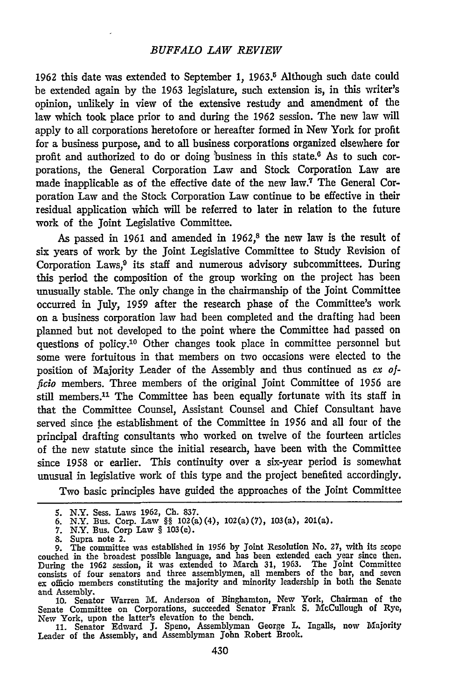#### *BUFFALO LAW REVIEW*

1962 this date was extended to September 1, **1963. <sup>5</sup>**Although such date could be extended again by the 1963 legislature, such extension is, in this writer's opinion, unlikely in view of the extensive restudy and amendment of the law which took place prior to and during the 1962 session. The new law will apply to all corporations heretofore or hereafter formed in New York for profit for a business purpose, and to all business corporations organized elsewhere for profit and authorized to do or doing business in this state. $6$  As to such corporations, the General Corporation Law and Stock Corporation Law are made inapplicable as of the effective date of the new law.<sup>7</sup> The General Corporation Law and the Stock Corporation Law continue to be effective in their residual application which will be referred to later in relation to the future work of the Joint Legislative Committee.

As passed in 1961 and amended in 1962,<sup>8</sup> the new law is the result of six years of work by the Joint Legislative Committee to Study Revision of Corporation Laws,<sup>9</sup> its staff and numerous advisory subcommittees. During this period the composition of the group working on the project has been unusually stable. The only change in the chairmanship of the Joint Committee occurred in July, 1959 after the research phase of the Committee's work on a business corporation law had been completed and the drafting had been planned but not developed to the point where the Committee had passed on questions of policy.10 Other changes took place in committee personnel but some were fortuitous in that members on two occasions were elected to the position of Majority Leader of the Assembly and thus continued as *ex officio* members. Three members of the original Joint Committee of 1956 are still members.<sup>11</sup> The Committee has been equally fortunate with its staff in that the Committee Counsel, Assistant Counsel and Chief Consultant have served since the establishment of the Committee in 1956 and all four of the principal drafting consultants who worked on twelve of the fourteen articles of the new statute since the initial research, have been with the Committee since 1958 or earlier. This continuity over a six-year period is somewhat unusual in legislative work of this type and the project benefited accordingly.

Two basic principles have guided the approaches of the Joint Committee

- **7.** N.Y. Bus. Corp Law § 103(e).
- 8. Supra note 2.

**10.** Senator Warren M. Anderson of Binghamton, New York, Chairman of the Senate Committee on Corporations, succeeded Senator Frank **S.** McCullough of Rye,

New York, upon the latter's elevation to the bench. **11.** Senator Edward **J.** Speno, Assemblyman George L. Ingalls, now Majority Leader of the Assembly, and Assemblyman John Robert Brook.

**<sup>5.</sup>** N.Y. Sess. Laws 1962, **Ch.** 837. **6.** N.Y. Bus. Corp. Law §§ 102(a)(4), 102(a)(7), 103(a), 201(a).

<sup>9.</sup> The committee was established in 1956 by Joint Resolution No. 27, with its scope couched in the broadest possible language, and has been extended each year since then<br>During the 1962 session, it was extended to March 31, 1963. The Joint Committed<br>consists of four senators and three assemblymen, all mem ex officio members constituting the majority and minority leadership in both the Senate and Assembly.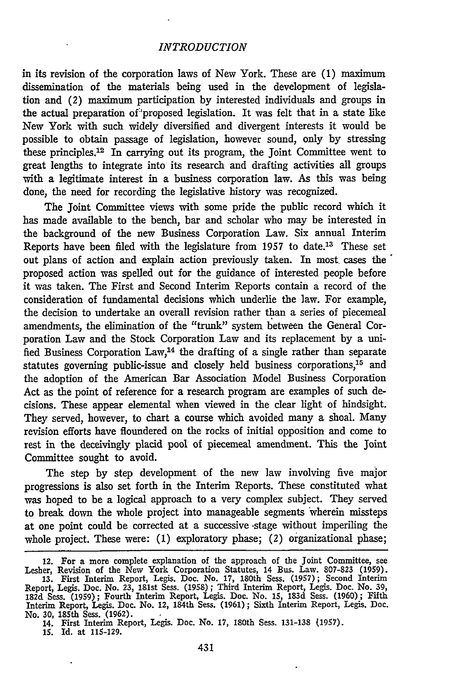#### *INTRODUCTION*

in its revision of the corporation laws of New York. These are **(1)** maximum dissemination of the materials being used in the development of legislation and (2) maximum participation by interested individuals and groups in the actual preparation of proposed legislation. It was felt that in a state like New York with such widely diversified and divergent interests it would be possible to obtain passage of legislation, however sound, only by stressing these principles. 2 In carrying out its program, the Joint Committee went to great lengths to integrate into its research and drafting activities all groups with a legitimate interest in a business corporation law. As this was being done, the need for recording the legislative history was recognized.

The Joint Committee views with some pride the public record which it has made available to the bench, bar and scholar who may be interested in the background of the new Business Corporation Law. Six annual Interim Reports have been filed with the legislature from 1957 to date.13 These set out plans of action and explain action previously taken. In most cases the' proposed action was spelled out for the guidance of interested people before it was taken. The First and Second Interim Reports contain a record of the consideration of fundamental decisions which underlie the law. For example, the decision to undertake an overall revision rather than a series of piecemeal amendments, the elimination of the "trunk" system between the General Corporation Law and the Stock Corporation Law and its replacement by a unified Business Corporation Law,14 the drafting of a single rather than separate statutes governing public-issue and closely held business corporations,<sup>15</sup> and the adoption of the American Bar Association Model Business Corporation Act as the point of reference for a research program are examples of such decisions. These appear elemental when viewed in the clear light of hindsight. They served, however, to chart a course which avoided many a shoal. Many revision efforts have floundered on the rocks of initial opposition and come to rest in the deceivingly placid pool of piecemeal amendment. This the Joint Committee sought to avoid.

The step by step development of the new law involving five major progressions is also set forth in the Interim Reports. These constituted what was hoped to be a logical approach to a very complex subject. They served to break down the whole project into manageable segments 'wherein missteps at one point could be corrected at a successive -stage without imperiling the whole project. These were: (1) exploratory phase; (2) organizational phase;

15. Id. at 115-129.

<sup>12.</sup> For a more complete explanation of the approach of the Joint Committee, see Lesher, Revision of the New York Corporation Statutes, 14 Bus. Law. 807-823 (1959). 13. First Interim Report, Legis. Doc. No. 17, 180th Sess. (1957); Second Interim Report, Legis. Doc. No. 23, 181st Sess. (1958); Third Interim Report, Legis. Doc. No. 39, 182d Sess. (1959); Fourth Interim Report, Legis. Doc. No. 15, 183d Sess. (1960); Fifth Interim Report, Legis. Doc. No. 12, 184th Sess. (1961); Sixth Interim Report, Legis. Doc. No. 30, 185th Sess. (1962).

<sup>14.</sup> First Interim Report, Legis. Doc. No. 17, 180th Sess. 131-138 (1957).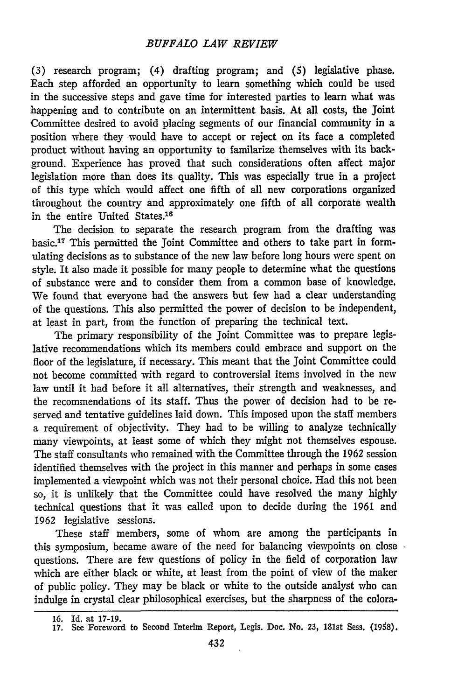(3) research program; (4) drafting program; and *(5)* legislative phase. Each step afforded an opportunity to learn something which could be used in the successive steps and gave time for interested parties to learn what was happening and to contribute on an intermittent basis. At all costs, the Joint Committee desired to avoid placing segments of our financial community in a position where they would have to accept or reject on its face a completed product without having an opportunity to familarize themselves with its background. Experience has proved that such considerations often affect major legislation more than does its- quality. This was especially true in a project of this type which would affect one fifth of all new corporations organized throughout the country and approximately one fifth of all corporate wealth in the entire United States.<sup>16</sup>

The decision to separate the research program from the drafting was basic.<sup>17</sup> This permitted the Joint Committee and others to take part in formulating decisions as to substance of the new law before long hours were spent on style. It also made it possible for many people to determine what the questions of substance were and to consider them from a common base of knowledge. We found that everyone had the answers but few had a clear understanding of the questions. This also permitted the power of decision to be independent, at least in part, from the function of preparing the technical text.

The primary responsibility of the Joint Committee was to prepare legislative recommendations which its members could embrace and support on the floor of the legislature, if necessary. This meant that the Joint Committee could not become committed with regard to controversial items involved in the new law until it had before it all alternatives, their strength and weaknesses, and the recommendations of its staff. Thus the power of decision had to be reserved and tentative guidelines laid down. This imposed upon the staff members a requirement of objectivity. They had to be willing to analyze technically many viewpoints, at least some of which they might not themselves espouse. The staff consultants who remained with the Committee through the 1962 session identified themselves with the project in this manner and perhaps in some cases implemented a viewpoint which was not their personal choice. Had this not been so, it is unlikely that the Committee could have resolved the many highly technical questions that it was called upon to decide during the 1961 and 1962 legislative sessions.

These staff members, some of whom are among the participants in this symposium, became aware of the need for balancing viewpoints on close questions. There are few questions of policy in the field of corporation law which are either black or white, at least from the point of view of the maker of public policy. They may be black or white to the outside analyst who can indulge in crystal clear philosophical exercises, but the sharpness of the colora-

**<sup>16.</sup>** Id. at **17-19.**

<sup>17.</sup> See Foreword to Second Interim Report, Legis. Doc. No. 23, 181st Sess. (1958).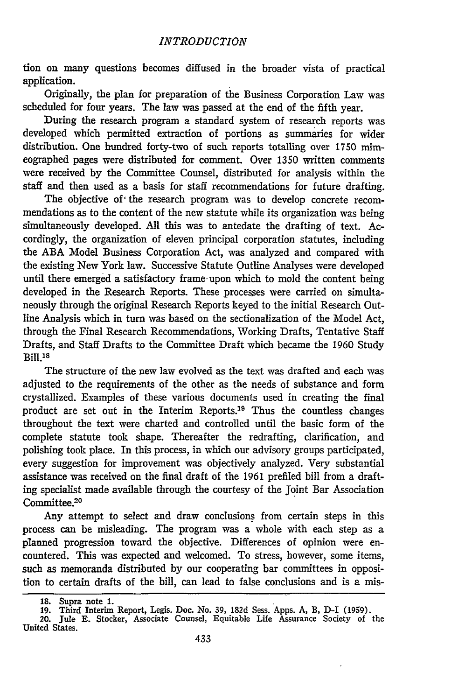tion on many questions becomes diffused in the broader vista of practical application.

Originally, the plan for preparation of the Business Corporation Law was scheduled for four years. The law was passed at the end of the fifth year.

During the research program a standard system of research reports was developed which permitted extraction of portions as summaries for wider distribution. One hundred forty-two of such reports totalling over 1750 mimeographed pages were distributed for comment. Over 1350 written comments were received by the Committee Counsel, distributed for analysis within the staff and then used as a basis for staff recommendations for future drafting.

The objective of the research program was to develop concrete recommendations as to the content of the new statute while its organization was being simultaneously developed. All this was to antedate the drafting of text. Accordingly, the organization of eleven principal corporation statutes, including the ABA Model Business Corporation Act, was analyzed and compared with the existing New York law. Successive Statute Outline Analyses were developed until there emerged a satisfactory frame upon which to mold the content being developed in the Research Reports. These processes were carried on simultaneously through the original Research Reports keyed to the initial Research Outline Analysis which in turn was based on the sectionalization of the Model Act, through the Final Research Recommendations, Working Drafts, Tentative Staff Drafts, and Staff Drafts to the Committee Draft which became the 1960 Study **Bill 18** 

The structure of the new law evolved as the text was drafted and each was adjusted to the requirements of the other as the needs of substance and form crystallized. Examples of these various documents used in creating the final product are set out in the Interim Reports.19 Thus the countless changes throughout the text were charted and controlled until the basic form of the complete statute took shape. Thereafter the redrafting, clarification, and polishing took place. In this process, in which our advisory groups participated, every suggestion for improvement was objectively analyzed. Very substantial assistance was received on the final draft of the 1961 prefiled bill from a drafting specialist made available through the courtesy of the Joint Bar Association Committee.20

Any attempt to select and draw conclusions from certain steps in this process can be misleading. The program was a whole with each step as a planned progression toward the objective. Differences of opinion were encountered. This was expected and welcomed. To stress, however, some items, such as memoranda distributed by our cooperating bar committees in opposition to certain drafts of the bill, can lead to false conclusions and is a mis-

**<sup>18.</sup>** Supra note **1.** 19. Third Interim Report, Legis. Doc. No. 39, 182d Sess. Apps. A, B, D-I (1959).

<sup>20.</sup> Jule E. Stocker, Associate Counsel, Equitable Life Assurance Society of the United States.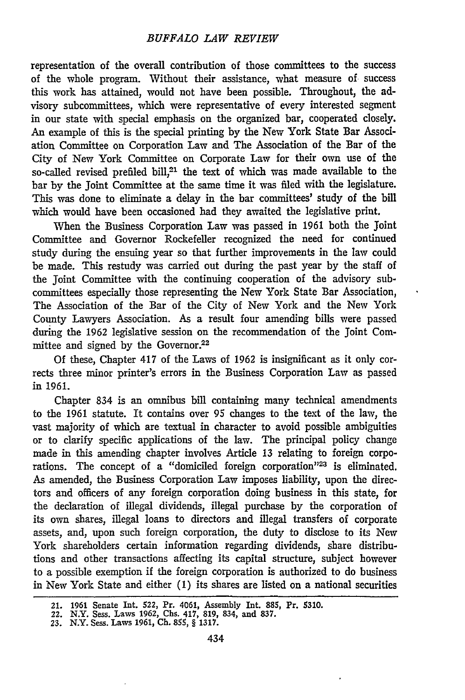#### *BUFFALO LAW REVIEW*

representation of the overall contribution of those committees to the success of the whole program. Without their assistance, what measure of success this work has attained, would not have been possible. Throughout, the advisory subcommittees, which were representative of every interested segment in our state with special emphasis on the organized bar, cooperated closely. An example of this is the special printing by the New York State Bar Association Committee on Corporation Law and The Association of the Bar of the City of New York Committee on Corporate Law for their own use of the so-called revised prefiled bill,<sup>21</sup> the text of which was made available to the bar by the Joint Committee at the same time it was filed with the legislature. This was done to eliminate a delay in the bar committees' study of the bill which would have been occasioned had they awaited the legislative print.

When the Business Corporation Law was passed in 1961 both the Joint Committee and Governor Rockefeller recognized the need for continued study during the ensuing year so that further improvements in the law could be made. This restudy was carried out during the past year by the staff of the Joint Committee with the continuing cooperation of the advisory subcommittees especially those representing the New York State Bar Association, The Association of the Bar of the City of New York and the New York County Lawyers Association. As a result four amending bills were passed during the 1962 legislative session on the recommendation of the Joint Committee and signed by the Governor.<sup>22</sup>

Of these, Chapter 417 of the Laws of 1962 is insignificant as it only corrects three minor printer's errors in the Business Corporation Law as passed in 1961.

Chapter 834 is an omnibus bill containing many technical amendments to the 1961 statute. It contains over 95 changes to the text of the law, the vast majority of which are textual in character to avoid possible ambiguities or to clarify specific applications of the law. The principal policy change made in this amending chapter involves Article **13** relating to foreign corporations. The concept of a "domiciled foreign corporation"<sup>23</sup> is eliminated. As amended, the Business Corporation Law imposes liability, upon the directors and officers of any foreign corporation doing business in this state, for the declaration of illegal dividends, illegal purchase by the corporation of its own shares, illegal loans to directors and illegal transfers of corporate assets, and, upon such foreign corporation, the duty to disclose to its New York shareholders certain information regarding dividends, share distributions and other transactions affecting its capital structure, subject however to a possible exemption if the foreign corporation is authorized to do business in New York State and either **(1)** its shares are listed on a national securities

**<sup>21. 1961</sup>** Senate Int. 522, **Pr. 4061,** Assembly Int. **885,** Pr. **5310.** 22. N.Y. Sess. Laws **1962, Chs. 417, 819,** 834, and **837.**

**<sup>23.</sup> N.Y.** Sess. Laws **1961, Ch. 855,** § **1317.**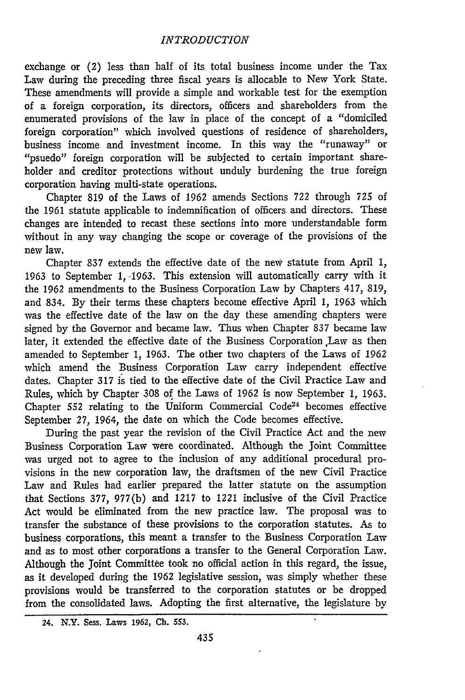#### *INTRODUCTION*

exchange or (2) less than half of its total business income under the Tax Law during the preceding three fiscal years is allocable to New York State. These amendments will provide a simple and workable test for the exemption of a foreign corporation, its directors, officers and shareholders from the enumerated provisions of the law in place of the concept of a "domiciled foreign corporation" which involved questions of residence of shareholders, business income and investment income. In this way the "runaway" or "psuedo" foreign corporation will be subjected to certain important shareholder and creditor protections without unduly burdening the true foreign corporation having multi-state operations.

Chapter 819 of the Laws of 1962 amends Sections 722 through 725 of the 1961 statute applicable to indemnification of officers and directors. These changes are intended to recast these sections into more understandable form without in any way changing the scope or coverage of the provisions of the new law.

Chapter 837 extends the effective date of the new statute from April 1, 1963 to September **1,** -1963. This extension will automatically carry with it the 1962 amendments to the Business Corporation Law by Chapters 417, 819, and 834. By their terms these chapters become effective April 1, 1963 which was the effective date of the law on the day these amending chapters were signed by the Governor and became law. Thus when Chapter 837 became law later, it extended the effective date of the Business Corporation Law as then amended to September 1, 1963. The other two chapters of the Laws of 1962 which amend the Business Corporation Law carry independent effective dates. Chapter 317 is tied to the effective date of the Civil Practice Law and Rules, which by Chapter 308 of the Laws of 1962 is now September 1, 1963. Chapter 552 relating to the Uniform Commercial Code<sup>24</sup> becomes effective September 27, 1964, the date on which the Code becomes effective.

During the past year the revision of the Civil Practice Act and the new Business Corporation Law were coordinated. Although the Joint Committee was urged not to agree to the inclusion of any additional procedural provisions in the new corporation law, the draftsmen of the new Civil Practice Law and Rules had earlier prepared the latter statute on the assumption that Sections 377, 977(b) and 1217 to 1221 inclusive of the Civil Practice Act would be eliminated from the new practice law. The proposal was to transfer the substance of these provisions to the corporation statutes. As to business corporations, this meant a transfer to the Business Corporation Law and as to most other corporations a transfer to the General Corporation Law. Although the Joint Committee took no official action in this regard, the issue, as it developed during the 1962 legislative session, was simply whether these provisions would be transferred to the corporation statutes or be dropped from the consolidated laws. Adopting the first alternative, the legislature by

<sup>24.</sup> N.Y. Sess. Laws 1962, **Ch.** 553.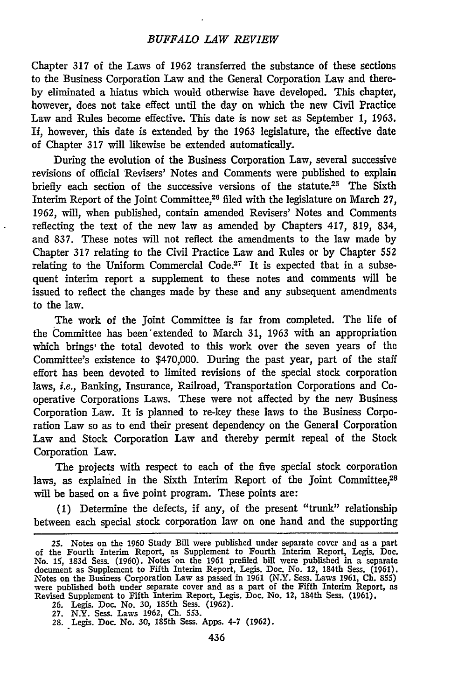#### *BUFFALO LAW REVIEW*

Chapter **317** of the Laws of 1962 transferred the substance of these sections to the Business Corporation Law and the General Corporation Law and thereby eliminated a hiatus which would otherwise have developed. This chapter, however, does not take effect until the day on which the new Civil Practice Law and Rules become effective. This date is now set as September 1, 1963. If, however, this date is extended by the 1963 legislature, the effective date of Chapter **317** will likewise be extended automatically.

During the evolution of the Business Corporation Law, several successive revisions of official Revisers' Notes and Comments were published to explain briefly each section of the successive versions of the statute.<sup>25</sup> The Sixth Interim Report of the Joint Committee,<sup>26</sup> filed with the legislature on March 27, 1962, will, when published, contain amended Revisers' Notes and Comments reflecting the text of the new law as amended by Chapters 417, 819, 834, and 837. These notes will not reflect the amendments to the law made by Chapter 317 relating to the Civil Practice Law and Rules or by Chapter **552** relating to the Uniform Commercial Code.<sup>27</sup> It is expected that in a subsequent interim report a supplement to these notes and comments will be issued to reflect the changes made by these and any subsequent amendments to the law.

The work of the Joint Committee is far from completed. The life of the Committee has been'extended to March 31, 1963 with an appropriation which brings the total devoted to this work over the seven years of the Committee's existence to \$470,000. During the past year, part of the staff effort has been devoted to limited revisions of the special stock corporation laws, i.e., Banking, Insurance, Railroad, Transportation Corporations and Cooperative Corporations Laws. These were not affected by the new Business Corporation Law. It is planned to re-key these laws to the Business Corporation Law so as to end their present dependency on the General Corporation Law and Stock Corporation Law and thereby permit repeal of the Stock Corporation Law.

The projects with respect to each of the five special stock corporation laws, as explained in the Sixth Interim Report of the Joint Committee,<sup>28</sup> will be based on a five point program. These points are:

(1) Determine the defects, if any, of the present "trunk" relationship between each special stock corporation law on one hand and the supporting

<sup>25.</sup> Notes on the 1960 Study Bill were published under separate cover and as a part of the Fourth Interim Report, as Supplement to Fourth Interim Report, Legis. Doc. No. 15, 183d Sess. (1960). Notes-on the 1961 prefiled bill were published in a separate document as Supplement to Fifth Interim Report, Legis. Doc. No. 12, 184th Sess. (1961). Notes on the Business Corporation Law as passed in 1961 (N.Y. Sess. Laws 1961, Ch. 855)<br>were published both under separate cover and as a part of the Fifth Interim Report, as<br>Revised Supplement to Fifth Interim Report, Leg

**<sup>27.</sup>** N.Y. Sess. Laws 1962, **Ch.** 553.

<sup>28.</sup> Legis. Doc. No. **30,** 185th Sess. Apps. 4-7 (1962).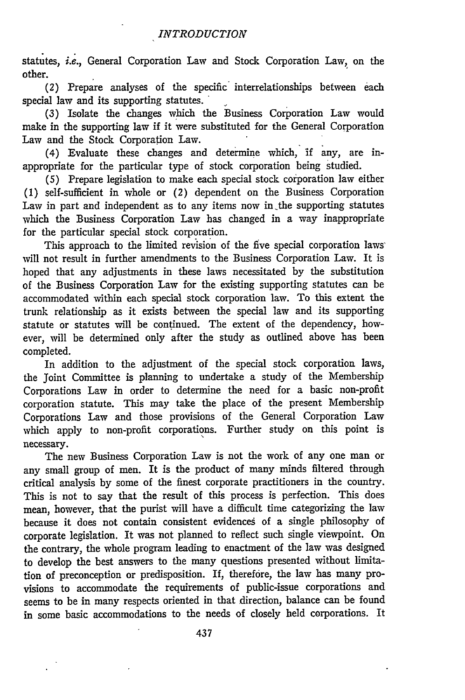statutes, *i.e.,* General Corporation Law and Stock Corporation Law, on the other.

(2) Prepare analyses of the specific interrelationships between each special law and its supporting statutes.

**(3)** Isolate the changes which the Business Corporation Law would make in the supporting law if it were substituted for the General Corporation Law and the Stock Corporation Law.

(4) Evaluate these changes and determine which, if any, are inappropriate for the particular type of stock corporation being studied.

(5) Prepare legislation to make each special stock corporation law either (1) self-sufficient in whole or (2) dependent on the Business Corporation Law in part and independent as to any items now in the supporting statutes which the Business Corporation Law has changed in a way inappropriate for the particular special stock corporation.

This approach to the limited revision of the five special corporation laws will not result in further amendments to the Business Corporation Law. It is hoped that any adjustments in these laws necessitated by the substitution of the Business Corporation Law for the existing supporting statutes can be accommodated within each special stock corporation law. To this extent the trunk relationship as it exists between the special law and its supporting statute or statutes will be continued. The extent of the dependency, however, will be determined only after the study as outlined above has been completed.

In addition to the adjustment of the special stock corporation laws, the Joint Committee is planning to undertake a study of the Membership Corporations Law in order to determine the need for a basic non-profit corporation statute. This may take the place of the present Membership Corporations Law and those provisions of the General Corporation Law which apply to non-profit corporations. Further study on this point is necessary.

The new Business Corporation Law is not the work of any one man or any small group of men. It is the product of many minds filtered through critical analysis by some of the finest corporate practitioners in the country. This is not to say that the result of this process is perfection. This does mean, however, that the purist will have a difficult time categorizing the law because it does not contain consistent evidences of a single philosophy of corporate legislation. It was not planned to reflect such single viewpoint. On the contrary, the whole program leading to enactment of the law was designed to develop the best answers to the many questions presented without limitation of preconception or predisposition. If, therefore, the law has many provisions to accommodate the requirements of public-issue corporations and seems to be in many respects oriented in that direction, balance can be found in some basic accommodations to the needs of closely held corporations. It